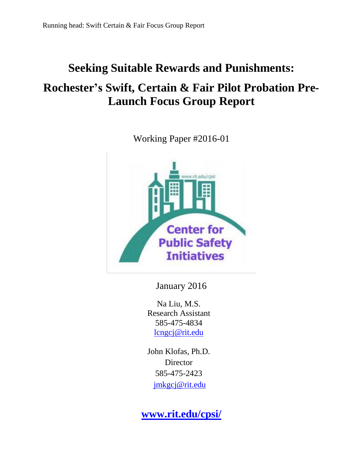# **Seeking Suitable Rewards and Punishments:**

# **Rochester's Swift, Certain & Fair Pilot Probation Pre-Launch Focus Group Report**

Working Paper #2016-01



January 2016

Na Liu, M.S. Research Assistant 585-475-4834 [lcngcj@rit.edu](mailto:lcngcj@rit.edu)

John Klofas, Ph.D. **Director** 585-475-2423 [jmkgcj@rit.edu](mailto:jmkgcj@rit.edu)

**[www.rit.edu/cpsi/](http://www.rit.edu/cpsi/)**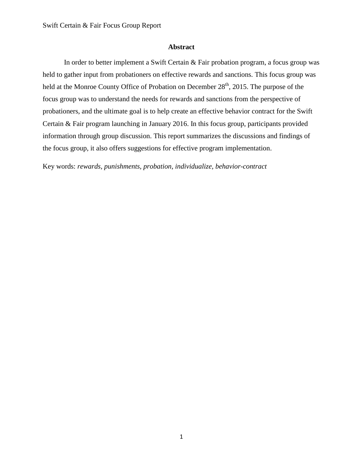#### **Abstract**

In order to better implement a Swift Certain & Fair probation program, a focus group was held to gather input from probationers on effective rewards and sanctions. This focus group was held at the Monroe County Office of Probation on December  $28<sup>th</sup>$ , 2015. The purpose of the focus group was to understand the needs for rewards and sanctions from the perspective of probationers, and the ultimate goal is to help create an effective behavior contract for the Swift Certain & Fair program launching in January 2016. In this focus group, participants provided information through group discussion. This report summarizes the discussions and findings of the focus group, it also offers suggestions for effective program implementation.

Key words: *rewards, punishments, probation, individualize, behavior-contract*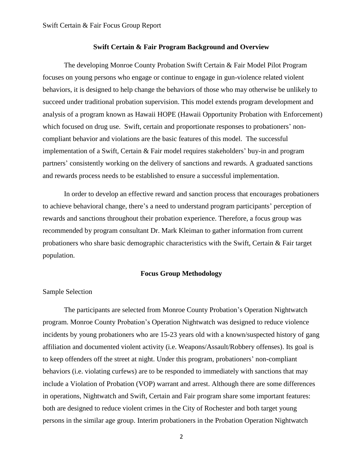#### **Swift Certain & Fair Program Background and Overview**

The developing Monroe County Probation Swift Certain & Fair Model Pilot Program focuses on young persons who engage or continue to engage in gun-violence related violent behaviors, it is designed to help change the behaviors of those who may otherwise be unlikely to succeed under traditional probation supervision. This model extends program development and analysis of a program known as Hawaii HOPE (Hawaii Opportunity Probation with Enforcement) which focused on drug use. Swift, certain and proportionate responses to probationers' noncompliant behavior and violations are the basic features of this model. The successful implementation of a Swift, Certain & Fair model requires stakeholders' buy-in and program partners' consistently working on the delivery of sanctions and rewards. A graduated sanctions and rewards process needs to be established to ensure a successful implementation.

In order to develop an effective reward and sanction process that encourages probationers to achieve behavioral change, there's a need to understand program participants' perception of rewards and sanctions throughout their probation experience. Therefore, a focus group was recommended by program consultant Dr. Mark Kleiman to gather information from current probationers who share basic demographic characteristics with the Swift, Certain & Fair target population.

#### **Focus Group Methodology**

#### Sample Selection

The participants are selected from Monroe County Probation's Operation Nightwatch program. Monroe County Probation's Operation Nightwatch was designed to reduce violence incidents by young probationers who are 15-23 years old with a known/suspected history of gang affiliation and documented violent activity (i.e. Weapons/Assault/Robbery offenses). Its goal is to keep offenders off the street at night. Under this program, probationers' non-compliant behaviors (i.e. violating curfews) are to be responded to immediately with sanctions that may include a Violation of Probation (VOP) warrant and arrest. Although there are some differences in operations, Nightwatch and Swift, Certain and Fair program share some important features: both are designed to reduce violent crimes in the City of Rochester and both target young persons in the similar age group. Interim probationers in the Probation Operation Nightwatch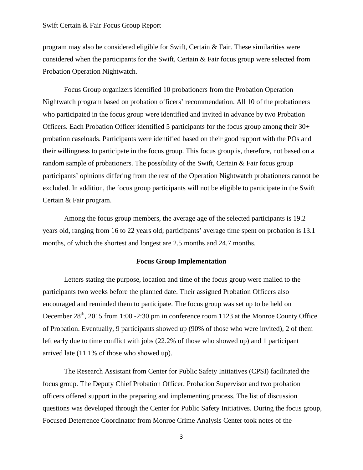program may also be considered eligible for Swift, Certain & Fair. These similarities were considered when the participants for the Swift, Certain  $\&$  Fair focus group were selected from Probation Operation Nightwatch.

Focus Group organizers identified 10 probationers from the Probation Operation Nightwatch program based on probation officers' recommendation. All 10 of the probationers who participated in the focus group were identified and invited in advance by two Probation Officers. Each Probation Officer identified 5 participants for the focus group among their 30+ probation caseloads. Participants were identified based on their good rapport with the POs and their willingness to participate in the focus group. This focus group is, therefore, not based on a random sample of probationers. The possibility of the Swift, Certain & Fair focus group participants' opinions differing from the rest of the Operation Nightwatch probationers cannot be excluded. In addition, the focus group participants will not be eligible to participate in the Swift Certain & Fair program.

Among the focus group members, the average age of the selected participants is 19.2 years old, ranging from 16 to 22 years old; participants' average time spent on probation is 13.1 months, of which the shortest and longest are 2.5 months and 24.7 months.

#### **Focus Group Implementation**

Letters stating the purpose, location and time of the focus group were mailed to the participants two weeks before the planned date. Their assigned Probation Officers also encouraged and reminded them to participate. The focus group was set up to be held on December  $28<sup>th</sup>$ , 2015 from 1:00 -2:30 pm in conference room 1123 at the Monroe County Office of Probation. Eventually, 9 participants showed up (90% of those who were invited), 2 of them left early due to time conflict with jobs (22.2% of those who showed up) and 1 participant arrived late (11.1% of those who showed up).

The Research Assistant from Center for Public Safety Initiatives (CPSI) facilitated the focus group. The Deputy Chief Probation Officer, Probation Supervisor and two probation officers offered support in the preparing and implementing process. The list of discussion questions was developed through the Center for Public Safety Initiatives. During the focus group, Focused Deterrence Coordinator from Monroe Crime Analysis Center took notes of the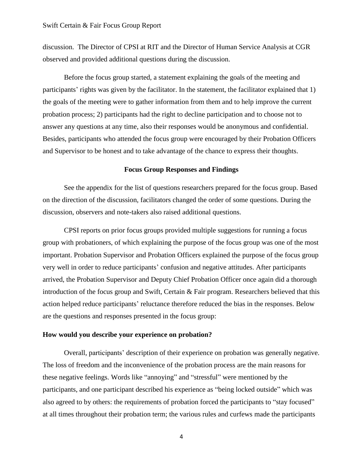discussion. The Director of CPSI at RIT and the Director of Human Service Analysis at CGR observed and provided additional questions during the discussion.

Before the focus group started, a statement explaining the goals of the meeting and participants' rights was given by the facilitator. In the statement, the facilitator explained that 1) the goals of the meeting were to gather information from them and to help improve the current probation process; 2) participants had the right to decline participation and to choose not to answer any questions at any time, also their responses would be anonymous and confidential. Besides, participants who attended the focus group were encouraged by their Probation Officers and Supervisor to be honest and to take advantage of the chance to express their thoughts.

#### **Focus Group Responses and Findings**

See the appendix for the list of questions researchers prepared for the focus group. Based on the direction of the discussion, facilitators changed the order of some questions. During the discussion, observers and note-takers also raised additional questions.

CPSI reports on prior focus groups provided multiple suggestions for running a focus group with probationers, of which explaining the purpose of the focus group was one of the most important. Probation Supervisor and Probation Officers explained the purpose of the focus group very well in order to reduce participants' confusion and negative attitudes. After participants arrived, the Probation Supervisor and Deputy Chief Probation Officer once again did a thorough introduction of the focus group and Swift, Certain & Fair program. Researchers believed that this action helped reduce participants' reluctance therefore reduced the bias in the responses. Below are the questions and responses presented in the focus group:

#### **How would you describe your experience on probation?**

Overall, participants' description of their experience on probation was generally negative. The loss of freedom and the inconvenience of the probation process are the main reasons for these negative feelings. Words like "annoying" and "stressful" were mentioned by the participants, and one participant described his experience as "being locked outside" which was also agreed to by others: the requirements of probation forced the participants to "stay focused" at all times throughout their probation term; the various rules and curfews made the participants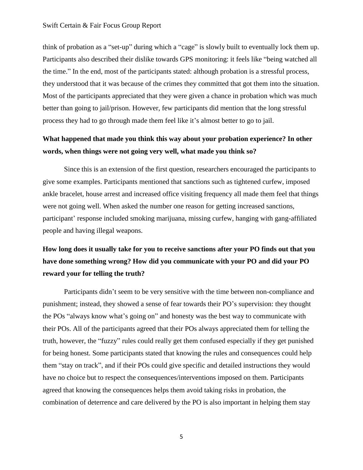think of probation as a "set-up" during which a "cage" is slowly built to eventually lock them up. Participants also described their dislike towards GPS monitoring: it feels like "being watched all the time." In the end, most of the participants stated: although probation is a stressful process, they understood that it was because of the crimes they committed that got them into the situation. Most of the participants appreciated that they were given a chance in probation which was much better than going to jail/prison. However, few participants did mention that the long stressful process they had to go through made them feel like it's almost better to go to jail.

### **What happened that made you think this way about your probation experience? In other words, when things were not going very well, what made you think so?**

Since this is an extension of the first question, researchers encouraged the participants to give some examples. Participants mentioned that sanctions such as tightened curfew, imposed ankle bracelet, house arrest and increased office visiting frequency all made them feel that things were not going well. When asked the number one reason for getting increased sanctions, participant' response included smoking marijuana, missing curfew, hanging with gang-affiliated people and having illegal weapons.

## **How long does it usually take for you to receive sanctions after your PO finds out that you have done something wrong? How did you communicate with your PO and did your PO reward your for telling the truth?**

Participants didn't seem to be very sensitive with the time between non-compliance and punishment; instead, they showed a sense of fear towards their PO's supervision: they thought the POs "always know what's going on" and honesty was the best way to communicate with their POs. All of the participants agreed that their POs always appreciated them for telling the truth, however, the "fuzzy" rules could really get them confused especially if they get punished for being honest. Some participants stated that knowing the rules and consequences could help them "stay on track", and if their POs could give specific and detailed instructions they would have no choice but to respect the consequences/interventions imposed on them. Participants agreed that knowing the consequences helps them avoid taking risks in probation, the combination of deterrence and care delivered by the PO is also important in helping them stay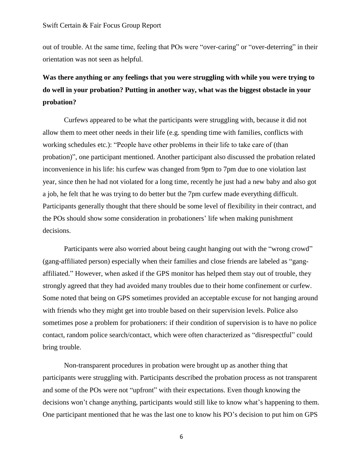out of trouble. At the same time, feeling that POs were "over-caring" or "over-deterring" in their orientation was not seen as helpful.

# **Was there anything or any feelings that you were struggling with while you were trying to do well in your probation? Putting in another way, what was the biggest obstacle in your probation?**

Curfews appeared to be what the participants were struggling with, because it did not allow them to meet other needs in their life (e.g. spending time with families, conflicts with working schedules etc.): "People have other problems in their life to take care of (than probation)", one participant mentioned. Another participant also discussed the probation related inconvenience in his life: his curfew was changed from 9pm to 7pm due to one violation last year, since then he had not violated for a long time, recently he just had a new baby and also got a job, he felt that he was trying to do better but the 7pm curfew made everything difficult. Participants generally thought that there should be some level of flexibility in their contract, and the POs should show some consideration in probationers' life when making punishment decisions.

Participants were also worried about being caught hanging out with the "wrong crowd" (gang-affiliated person) especially when their families and close friends are labeled as "gangaffiliated." However, when asked if the GPS monitor has helped them stay out of trouble, they strongly agreed that they had avoided many troubles due to their home confinement or curfew. Some noted that being on GPS sometimes provided an acceptable excuse for not hanging around with friends who they might get into trouble based on their supervision levels. Police also sometimes pose a problem for probationers: if their condition of supervision is to have no police contact, random police search/contact, which were often characterized as "disrespectful" could bring trouble.

Non-transparent procedures in probation were brought up as another thing that participants were struggling with. Participants described the probation process as not transparent and some of the POs were not "upfront" with their expectations. Even though knowing the decisions won't change anything, participants would still like to know what's happening to them. One participant mentioned that he was the last one to know his PO's decision to put him on GPS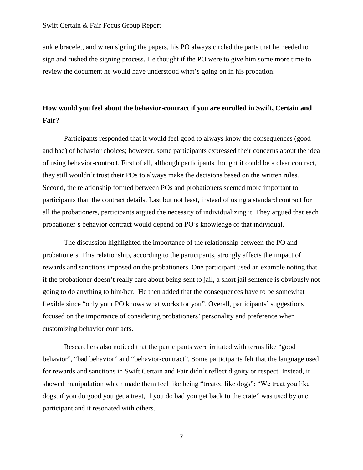ankle bracelet, and when signing the papers, his PO always circled the parts that he needed to sign and rushed the signing process. He thought if the PO were to give him some more time to review the document he would have understood what's going on in his probation.

### **How would you feel about the behavior-contract if you are enrolled in Swift, Certain and Fair?**

Participants responded that it would feel good to always know the consequences (good and bad) of behavior choices; however, some participants expressed their concerns about the idea of using behavior-contract. First of all, although participants thought it could be a clear contract, they still wouldn't trust their POs to always make the decisions based on the written rules. Second, the relationship formed between POs and probationers seemed more important to participants than the contract details. Last but not least, instead of using a standard contract for all the probationers, participants argued the necessity of individualizing it. They argued that each probationer's behavior contract would depend on PO's knowledge of that individual.

The discussion highlighted the importance of the relationship between the PO and probationers. This relationship, according to the participants, strongly affects the impact of rewards and sanctions imposed on the probationers. One participant used an example noting that if the probationer doesn't really care about being sent to jail, a short jail sentence is obviously not going to do anything to him/her. He then added that the consequences have to be somewhat flexible since "only your PO knows what works for you". Overall, participants' suggestions focused on the importance of considering probationers' personality and preference when customizing behavior contracts.

Researchers also noticed that the participants were irritated with terms like "good behavior", "bad behavior" and "behavior-contract". Some participants felt that the language used for rewards and sanctions in Swift Certain and Fair didn't reflect dignity or respect. Instead, it showed manipulation which made them feel like being "treated like dogs": "We treat you like dogs, if you do good you get a treat, if you do bad you get back to the crate" was used by one participant and it resonated with others.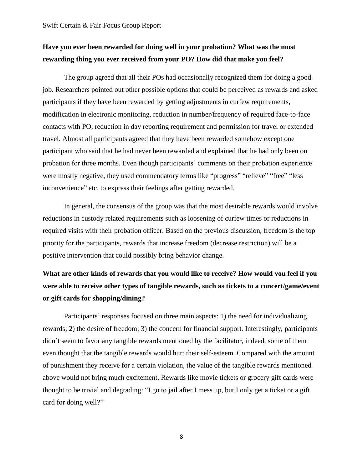### **Have you ever been rewarded for doing well in your probation? What was the most rewarding thing you ever received from your PO? How did that make you feel?**

The group agreed that all their POs had occasionally recognized them for doing a good job. Researchers pointed out other possible options that could be perceived as rewards and asked participants if they have been rewarded by getting adjustments in curfew requirements, modification in electronic monitoring, reduction in number/frequency of required face-to-face contacts with PO, reduction in day reporting requirement and permission for travel or extended travel. Almost all participants agreed that they have been rewarded somehow except one participant who said that he had never been rewarded and explained that he had only been on probation for three months. Even though participants' comments on their probation experience were mostly negative, they used commendatory terms like "progress" "relieve" "free" "less inconvenience" etc. to express their feelings after getting rewarded.

In general, the consensus of the group was that the most desirable rewards would involve reductions in custody related requirements such as loosening of curfew times or reductions in required visits with their probation officer. Based on the previous discussion, freedom is the top priority for the participants, rewards that increase freedom (decrease restriction) will be a positive intervention that could possibly bring behavior change.

## **What are other kinds of rewards that you would like to receive? How would you feel if you were able to receive other types of tangible rewards, such as tickets to a concert/game/event or gift cards for shopping/dining?**

Participants' responses focused on three main aspects: 1) the need for individualizing rewards; 2) the desire of freedom; 3) the concern for financial support. Interestingly, participants didn't seem to favor any tangible rewards mentioned by the facilitator, indeed, some of them even thought that the tangible rewards would hurt their self-esteem. Compared with the amount of punishment they receive for a certain violation, the value of the tangible rewards mentioned above would not bring much excitement. Rewards like movie tickets or grocery gift cards were thought to be trivial and degrading: "I go to jail after I mess up, but I only get a ticket or a gift card for doing well?"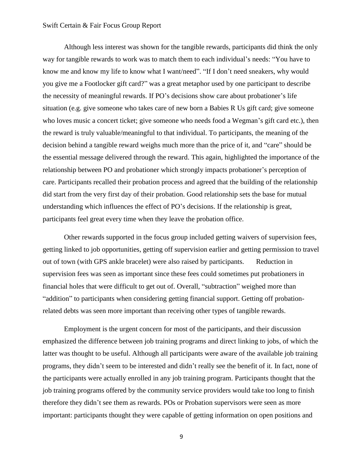Although less interest was shown for the tangible rewards, participants did think the only way for tangible rewards to work was to match them to each individual's needs: "You have to know me and know my life to know what I want/need". "If I don't need sneakers, why would you give me a Footlocker gift card?" was a great metaphor used by one participant to describe the necessity of meaningful rewards. If PO's decisions show care about probationer's life situation (e.g. give someone who takes care of new born a Babies R Us gift card; give someone who loves music a concert ticket; give someone who needs food a Wegman's gift card etc.), then the reward is truly valuable/meaningful to that individual. To participants, the meaning of the decision behind a tangible reward weighs much more than the price of it, and "care" should be the essential message delivered through the reward. This again, highlighted the importance of the relationship between PO and probationer which strongly impacts probationer's perception of care. Participants recalled their probation process and agreed that the building of the relationship did start from the very first day of their probation. Good relationship sets the base for mutual understanding which influences the effect of PO's decisions. If the relationship is great, participants feel great every time when they leave the probation office.

Other rewards supported in the focus group included getting waivers of supervision fees, getting linked to job opportunities, getting off supervision earlier and getting permission to travel out of town (with GPS ankle bracelet) were also raised by participants. Reduction in supervision fees was seen as important since these fees could sometimes put probationers in financial holes that were difficult to get out of. Overall, "subtraction" weighed more than "addition" to participants when considering getting financial support. Getting off probationrelated debts was seen more important than receiving other types of tangible rewards.

Employment is the urgent concern for most of the participants, and their discussion emphasized the difference between job training programs and direct linking to jobs, of which the latter was thought to be useful. Although all participants were aware of the available job training programs, they didn't seem to be interested and didn't really see the benefit of it. In fact, none of the participants were actually enrolled in any job training program. Participants thought that the job training programs offered by the community service providers would take too long to finish therefore they didn't see them as rewards. POs or Probation supervisors were seen as more important: participants thought they were capable of getting information on open positions and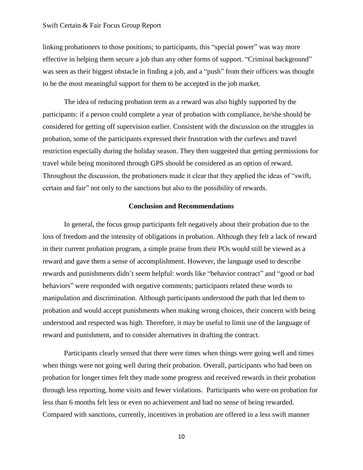linking probationers to those positions; to participants, this "special power" was way more effective in helping them secure a job than any other forms of support. "Criminal background" was seen as their biggest obstacle in finding a job, and a "push" from their officers was thought to be the most meaningful support for them to be accepted in the job market.

The idea of reducing probation term as a reward was also highly supported by the participants: if a person could complete a year of probation with compliance, he/she should be considered for getting off supervision earlier. Consistent with the discussion on the struggles in probation, some of the participants expressed their frustration with the curfews and travel restriction especially during the holiday season. They then suggested that getting permissions for travel while being monitored through GPS should be considered as an option of reward. Throughout the discussion, the probationers made it clear that they applied the ideas of "swift, certain and fair" not only to the sanctions but also to the possibility of rewards.

#### **Conclusion and Recommendations**

In general, the focus group participants felt negatively about their probation due to the loss of freedom and the intensity of obligations in probation. Although they felt a lack of reward in their current probation program, a simple praise from their POs would still be viewed as a reward and gave them a sense of accomplishment. However, the language used to describe rewards and punishments didn't seem helpful: words like "behavior contract" and "good or bad behaviors" were responded with negative comments; participants related these words to manipulation and discrimination. Although participants understood the path that led them to probation and would accept punishments when making wrong choices, their concern with being understood and respected was high. Therefore, it may be useful to limit use of the language of reward and punishment, and to consider alternatives in drafting the contract.

Participants clearly sensed that there were times when things were going well and times when things were not going well during their probation. Overall, participants who had been on probation for longer times felt they made some progress and received rewards in their probation through less reporting, home visits and fewer violations. Participants who were on probation for less than 6 months felt less or even no achievement and had no sense of being rewarded. Compared with sanctions, currently, incentives in probation are offered in a less swift manner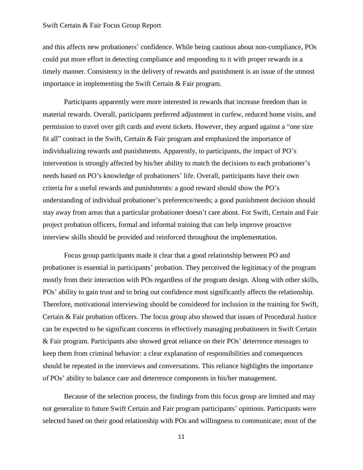and this affects new probationers' confidence. While being cautious about non-compliance, POs could put more effort in detecting compliance and responding to it with proper rewards in a timely manner. Consistency in the delivery of rewards and punishment is an issue of the utmost importance in implementing the Swift Certain & Fair program.

Participants apparently were more interested in rewards that increase freedom than in material rewards. Overall, participants preferred adjustment in curfew, reduced home visits, and permission to travel over gift cards and event tickets. However, they argued against a "one size fit all" contract in the Swift, Certain & Fair program and emphasized the importance of individualizing rewards and punishments. Apparently, to participants, the impact of PO's intervention is strongly affected by his/her ability to match the decisions to each probationer's needs based on PO's knowledge of probationers' life. Overall, participants have their own criteria for a useful rewards and punishments: a good reward should show the PO's understanding of individual probationer's preference/needs; a good punishment decision should stay away from areas that a particular probationer doesn't care about. For Swift, Certain and Fair project probation officers, formal and informal training that can help improve proactive interview skills should be provided and reinforced throughout the implementation.

Focus group participants made it clear that a good relationship between PO and probationer is essential in participants' probation. They perceived the legitimacy of the program mostly from their interaction with POs regardless of the program design. Along with other skills, POs' ability to gain trust and to bring out confidence most significantly affects the relationship. Therefore, motivational interviewing should be considered for inclusion in the training for Swift, Certain & Fair probation officers. The focus group also showed that issues of Procedural Justice can be expected to be significant concerns in effectively managing probationers in Swift Certain & Fair program. Participants also showed great reliance on their POs' deterrence messages to keep them from criminal behavior: a clear explanation of responsibilities and consequences should be repeated in the interviews and conversations. This reliance highlights the importance of POs' ability to balance care and deterrence components in his/her management.

Because of the selection process, the findings from this focus group are limited and may not generalize to future Swift Certain and Fair program participants' opinions. Participants were selected based on their good relationship with POs and willingness to communicate; most of the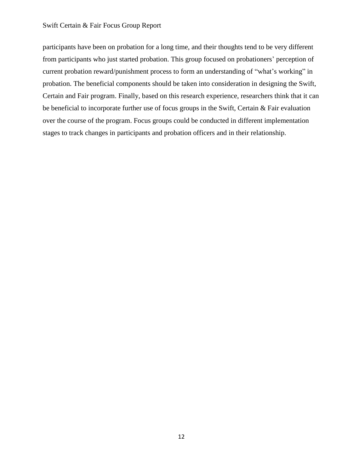participants have been on probation for a long time, and their thoughts tend to be very different from participants who just started probation. This group focused on probationers' perception of current probation reward/punishment process to form an understanding of "what's working" in probation. The beneficial components should be taken into consideration in designing the Swift, Certain and Fair program. Finally, based on this research experience, researchers think that it can be beneficial to incorporate further use of focus groups in the Swift, Certain & Fair evaluation over the course of the program. Focus groups could be conducted in different implementation stages to track changes in participants and probation officers and in their relationship.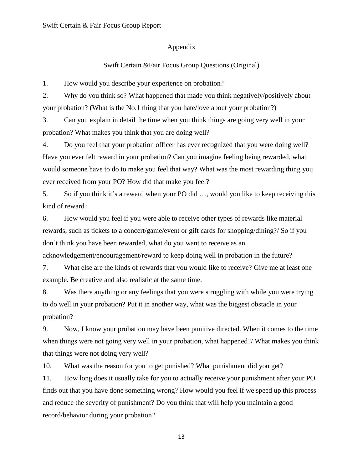#### Appendix

#### Swift Certain &Fair Focus Group Questions (Original)

1. How would you describe your experience on probation?

2. Why do you think so? What happened that made you think negatively/positively about your probation? (What is the No.1 thing that you hate/love about your probation?)

3. Can you explain in detail the time when you think things are going very well in your probation? What makes you think that you are doing well?

4. Do you feel that your probation officer has ever recognized that you were doing well? Have you ever felt reward in your probation? Can you imagine feeling being rewarded, what would someone have to do to make you feel that way? What was the most rewarding thing you ever received from your PO? How did that make you feel?

5. So if you think it's a reward when your PO did …, would you like to keep receiving this kind of reward?

6. How would you feel if you were able to receive other types of rewards like material rewards, such as tickets to a concert/game/event or gift cards for shopping/dining?/ So if you don't think you have been rewarded, what do you want to receive as an acknowledgement/encouragement/reward to keep doing well in probation in the future?

7. What else are the kinds of rewards that you would like to receive? Give me at least one example. Be creative and also realistic at the same time.

8. Was there anything or any feelings that you were struggling with while you were trying to do well in your probation? Put it in another way, what was the biggest obstacle in your probation?

9. Now, I know your probation may have been punitive directed. When it comes to the time when things were not going very well in your probation, what happened?/ What makes you think that things were not doing very well?

10. What was the reason for you to get punished? What punishment did you get?

11. How long does it usually take for you to actually receive your punishment after your PO finds out that you have done something wrong? How would you feel if we speed up this process and reduce the severity of punishment? Do you think that will help you maintain a good record/behavior during your probation?